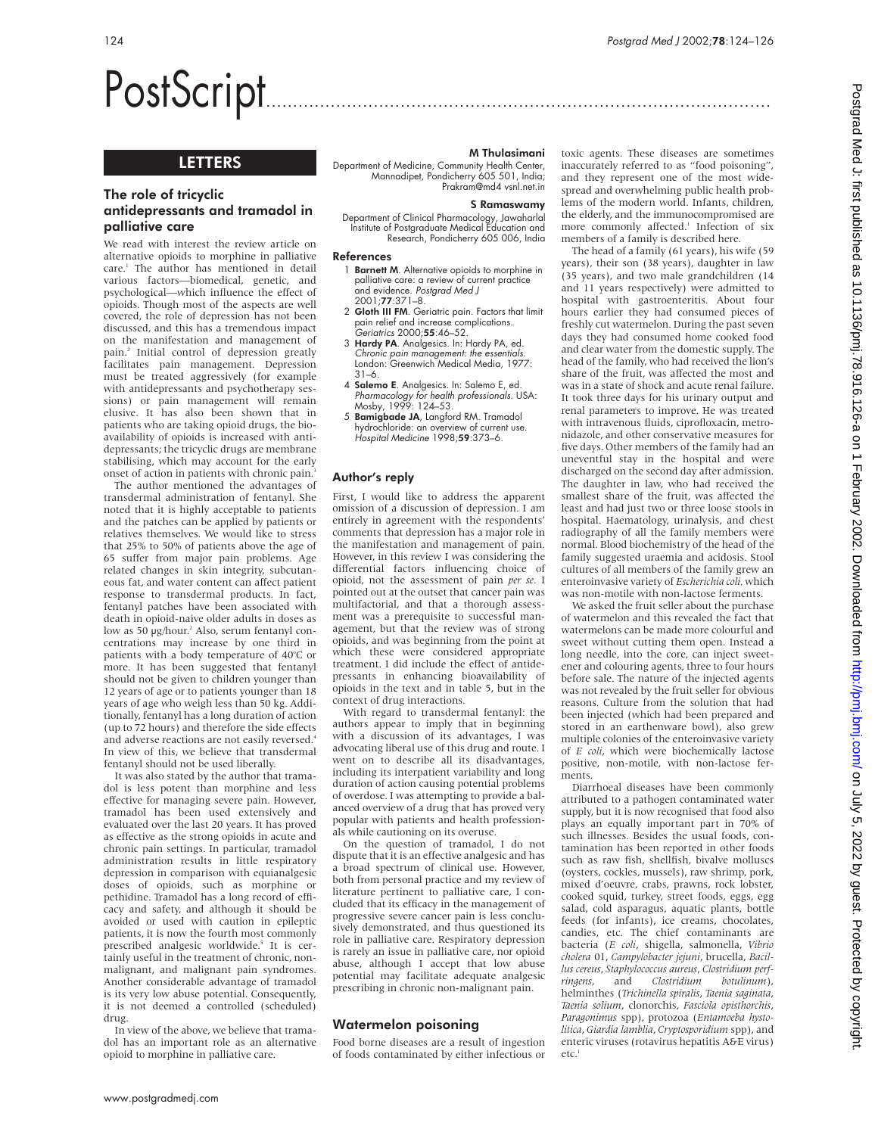# PostScript..............................................................................................

## LETTERS

## The role of tricyclic antidepressants and tramadol in palliative care

We read with interest the review article on alternative opioids to morphine in palliative care.<sup>1</sup> The author has mentioned in detail various factors—biomedical, genetic, and psychological—which influence the effect of opioids. Though most of the aspects are well covered, the role of depression has not been discussed, and this has a tremendous impact on the manifestation and management of pain.2 Initial control of depression greatly facilitates pain management. Depression must be treated aggressively (for example with antidepressants and psychotherapy sessions) or pain management will remain elusive. It has also been shown that in patients who are taking opioid drugs, the bioavailability of opioids is increased with antidepressants; the tricyclic drugs are membrane stabilising, which may account for the early onset of action in patients with chronic pain.<sup>3</sup>

The author mentioned the advantages of transdermal administration of fentanyl. She noted that it is highly acceptable to patients and the patches can be applied by patients or relatives themselves. We would like to stress that 25% to 50% of patients above the age of 65 suffer from major pain problems. Age related changes in skin integrity, subcutaneous fat, and water content can affect patient response to transdermal products. In fact, fentanyl patches have been associated with death in opioid-naive older adults in doses as low as 50 µg/hour.<sup>2</sup> Also, serum fentanyl concentrations may increase by one third in patients with a body temperature of 40°C or more. It has been suggested that fentanyl should not be given to children younger than 12 years of age or to patients younger than 18 years of age who weigh less than 50 kg. Additionally, fentanyl has a long duration of action (up to 72 hours) and therefore the side effects and adverse reactions are not easily reversed.<sup>4</sup> In view of this, we believe that transdermal fentanyl should not be used liberally.

It was also stated by the author that tramadol is less potent than morphine and less effective for managing severe pain. However, tramadol has been used extensively and evaluated over the last 20 years. It has proved as effective as the strong opioids in acute and chronic pain settings. In particular, tramadol administration results in little respiratory depression in comparison with equianalgesic doses of opioids, such as morphine or pethidine. Tramadol has a long record of efficacy and safety, and although it should be avoided or used with caution in epileptic patients, it is now the fourth most commonly prescribed analgesic worldwide.<sup>5</sup> It is certainly useful in the treatment of chronic, nonmalignant, and malignant pain syndromes. Another considerable advantage of tramadol is its very low abuse potential. Consequently, it is not deemed a controlled (scheduled) drug.

In view of the above, we believe that tramadol has an important role as an alternative opioid to morphine in palliative care.

#### M Thulasimani

Department of Medicine, Community Health Center, Mannadipet, Pondicherry 605 501, India; Prakram@md4 vsnl.net.in

#### S Ramaswamy

Department of Clinical Pharmacology, Jawaharlal Institute of Postgraduate Medical Education and Research, Pondicherry 605 006, India

#### References

- 1 **Barnett M**. Alternative opioids to morphine in palliative care: a review of current practice and evidence. *Postgrad Med J*<br>2001;**77**:371–8.
- 2 Gloth III FM. Geriatric pain. Factors that limit pain relief and increase complications. Geriatrics 2000;55:46–52.
- 3 Hardy PA. Analgesics. In: Hardy PA, ed. Chronic pain management: the essentials. London: Greenwich Medical Media, 1977: 31–6.
- 4 Salemo E. Analgesics. In: Salemo E, ed. Pharmacology for health professionals. USA: Mosby, 1999: 124–53.
- 5 Bamigbade JA, Langford RM. Tramadol hydrochloride: an overview of current use. Hospital Medicine 1998;59:373-6.

#### Author's reply

First, I would like to address the apparent omission of a discussion of depression. I am entirely in agreement with the respondents' comments that depression has a major role in the manifestation and management of pain. However, in this review I was considering the differential factors influencing choice of opioid, not the assessment of pain *per se*. I pointed out at the outset that cancer pain was multifactorial, and that a thorough assessment was a prerequisite to successful management, but that the review was of strong opioids, and was beginning from the point at which these were considered appropriate treatment. I did include the effect of antidepressants in enhancing bioavailability of opioids in the text and in table 5, but in the context of drug interactions.

With regard to transdermal fentanyl: the authors appear to imply that in beginning with a discussion of its advantages, I was advocating liberal use of this drug and route. I went on to describe all its disadvantages, including its interpatient variability and long duration of action causing potential problems of overdose. I was attempting to provide a balanced overview of a drug that has proved very popular with patients and health professionals while cautioning on its overuse.

On the question of tramadol, I do not dispute that it is an effective analgesic and has a broad spectrum of clinical use. However, both from personal practice and my review of literature pertinent to palliative care, I concluded that its efficacy in the management of progressive severe cancer pain is less conclusively demonstrated, and thus questioned its role in palliative care. Respiratory depression is rarely an issue in palliative care, nor opioid abuse, although I accept that low abuse potential may facilitate adequate analgesic prescribing in chronic non-malignant pain.

#### Watermelon poisoning

Food borne diseases are a result of ingestion of foods contaminated by either infectious or

toxic agents. These diseases are sometimes inaccurately referred to as "food poisoning", and they represent one of the most widespread and overwhelming public health problems of the modern world. Infants, children, the elderly, and the immunocompromised are more commonly affected.<sup>1</sup> Infection of six members of a family is described here.

The head of a family (61 years), his wife (59 years), their son (38 years), daughter in law (35 years), and two male grandchildren (14 and 11 years respectively) were admitted to hospital with gastroenteritis. About four hours earlier they had consumed pieces of freshly cut watermelon. During the past seven days they had consumed home cooked food and clear water from the domestic supply. The head of the family, who had received the lion's share of the fruit, was affected the most and was in a state of shock and acute renal failure. It took three days for his urinary output and renal parameters to improve. He was treated with intravenous fluids, ciprofloxacin, metronidazole, and other conservative measures for five days. Other members of the family had an uneventful stay in the hospital and were discharged on the second day after admission. The daughter in law, who had received the smallest share of the fruit, was affected the least and had just two or three loose stools in hospital. Haematology, urinalysis, and chest radiography of all the family members were normal. Blood biochemistry of the head of the family suggested uraemia and acidosis. Stool cultures of all members of the family grew an enteroinvasive variety of *Escherichia coli,* which was non-motile with non-lactose ferments.

We asked the fruit seller about the purchase of watermelon and this revealed the fact that watermelons can be made more colourful and sweet without cutting them open. Instead a long needle, into the core, can inject sweetener and colouring agents, three to four hours before sale. The nature of the injected agents was not revealed by the fruit seller for obvious reasons. Culture from the solution that had been injected (which had been prepared and stored in an earthenware bowl), also grew multiple colonies of the enteroinvasive variety of *E coli*, which were biochemically lactose positive, non-motile, with non-lactose ferments.

Diarrhoeal diseases have been commonly attributed to a pathogen contaminated water supply, but it is now recognised that food also plays an equally important part in 70% of such illnesses. Besides the usual foods, contamination has been reported in other foods such as raw fish, shellfish, bivalve molluscs (oysters, cockles, mussels), raw shrimp, pork, mixed d'oeuvre, crabs, prawns, rock lobster, cooked squid, turkey, street foods, eggs, egg salad, cold asparagus, aquatic plants, bottle feeds (for infants), ice creams, chocolates, candies, etc. The chief contaminants are bacteria (*E coli*, shigella, salmonella, *Vibrio cholera* 01, *Campylobacter jejuni*, brucella, *Bacillus cereus*, *Staphylococcus aureus*, *Clostridium perfringens*, and *Clostridium botulinum*), helminthes (*Trichinella spiralis*, *Taenia saginata*, *Taenia solium*, clonorchis, *Fasciola opisthorchis*, *Paragonimus* spp), protozoa (*Entamoeba hystolitica*, *Giardia lamblia*, *Cryptosporidium* spp), and enteric viruses (rotavirus hepatitis A&E virus) etc.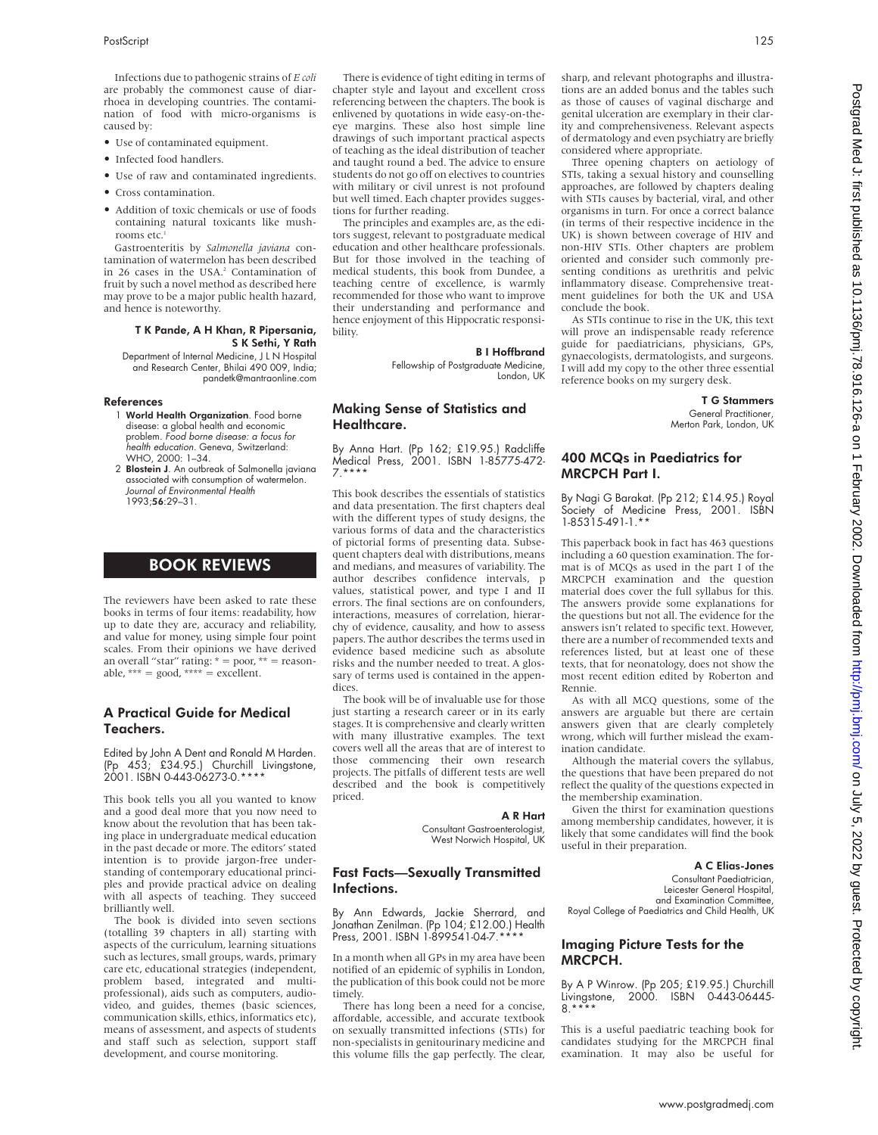Infections due to pathogenic strains of *E coli* are probably the commonest cause of diarrhoea in developing countries. The contamination of food with micro-organisms is caused by:

- Use of contaminated equipment.
- Infected food handlers.
- Use of raw and contaminated ingredients.
- Cross contamination.
- Addition of toxic chemicals or use of foods containing natural toxicants like mushrooms etc.1

Gastroenteritis by *Salmonella javiana* contamination of watermelon has been described in 26 cases in the USA.<sup>2</sup> Contamination of fruit by such a novel method as described here may prove to be a major public health hazard, and hence is noteworthy.

#### T K Pande, A H Khan, R Pipersania, S K Sethi, Y Rath

Department of Internal Medicine, J L N Hospital and Research Center, Bhilai 490 009, India; pandetk@mantraonline.com

#### References

- 1 World Health Organization. Food borne disease: a global health and economic problem. Food borne disease: <sup>a</sup> focus for health education. Geneva, Switzerland: WHO, 2000: 1–34.
- 2 Blostein J. An outbreak of Salmonella javiana associated with consumption of watermelon. Journal of Environmental Health 1993;56:29–31.

## BOOK REVIEWS

The reviewers have been asked to rate these books in terms of four items: readability, how up to date they are, accuracy and reliability, and value for money, using simple four point scales. From their opinions we have derived an overall "star" rating: \* = poor, \*\* = reasonable,  $*** = \text{good},$   $*** = \text{excellent}.$ 

#### A Practical Guide for Medical Teachers.

Edited by John A Dent and Ronald M Harden. (Pp 453; £34.95.) Churchill Livingstone, 2001. ISBN 0-443-06273-0.\*\*\*\*

This book tells you all you wanted to know and a good deal more that you now need to know about the revolution that has been taking place in undergraduate medical education in the past decade or more. The editors' stated intention is to provide jargon-free understanding of contemporary educational principles and provide practical advice on dealing with all aspects of teaching. They succeed brilliantly well.

The book is divided into seven sections (totalling 39 chapters in all) starting with aspects of the curriculum, learning situations such as lectures, small groups, wards, primary care etc, educational strategies (independent, problem based, integrated and multiprofessional), aids such as computers, audiovideo, and guides, themes (basic sciences, communication skills, ethics, informatics etc), means of assessment, and aspects of students and staff such as selection, support staff development, and course monitoring.

There is evidence of tight editing in terms of chapter style and layout and excellent cross referencing between the chapters. The book is enlivened by quotations in wide easy-on-theeye margins. These also host simple line drawings of such important practical aspects of teaching as the ideal distribution of teacher and taught round a bed. The advice to ensure students do not go off on electives to countries with military or civil unrest is not profound but well timed. Each chapter provides suggestions for further reading.

The principles and examples are, as the editors suggest, relevant to postgraduate medical education and other healthcare professionals. But for those involved in the teaching of medical students, this book from Dundee, a teaching centre of excellence, is warmly recommended for those who want to improve their understanding and performance and hence enjoyment of this Hippocratic responsibility.

#### B I Hoffbrand

Fellowship of Postgraduate Medicine, London, UK

#### Making Sense of Statistics and Healthcare.

By Anna Hart. (Pp 162; £19.95.) Radcliffe Medical Press, 2001. ISBN 1-85775-472- 7.\*\*\*\*

This book describes the essentials of statistics and data presentation. The first chapters deal with the different types of study designs, the various forms of data and the characteristics of pictorial forms of presenting data. Subsequent chapters deal with distributions, means and medians, and measures of variability. The author describes confidence intervals, p values, statistical power, and type I and II errors. The final sections are on confounders, interactions, measures of correlation, hierarchy of evidence, causality, and how to assess papers. The author describes the terms used in evidence based medicine such as absolute risks and the number needed to treat. A glossary of terms used is contained in the appendices

The book will be of invaluable use for those just starting a research career or in its early stages. It is comprehensive and clearly written with many illustrative examples. The text covers well all the areas that are of interest to those commencing their own research projects. The pitfalls of different tests are well described and the book is competitively priced.

#### A R Hart

Consultant Gastroenterologist, West Norwich Hospital, UK

## Fast Facts—Sexually Transmitted Infections.

By Ann Edwards, Jackie Sherrard, and Jonathan Zenilman. (Pp 104; £12.00.) Health Press, 2001. ISBN 1-899541-04-7.\*

In a month when all GPs in my area have been notified of an epidemic of syphilis in London, the publication of this book could not be more timely.

There has long been a need for a concise, affordable, accessible, and accurate textbook on sexually transmitted infections (STIs) for non-specialists in genitourinary medicine and this volume fills the gap perfectly. The clear,

sharp, and relevant photographs and illustrations are an added bonus and the tables such as those of causes of vaginal discharge and genital ulceration are exemplary in their clarity and comprehensiveness. Relevant aspects of dermatology and even psychiatry are briefly considered where appropriate.

Three opening chapters on aetiology of STIs, taking a sexual history and counselling approaches, are followed by chapters dealing with STIs causes by bacterial, viral, and other organisms in turn. For once a correct balance (in terms of their respective incidence in the UK) is shown between coverage of HIV and non-HIV STIs. Other chapters are problem oriented and consider such commonly presenting conditions as urethritis and pelvic inflammatory disease. Comprehensive treatment guidelines for both the UK and USA conclude the book.

As STIs continue to rise in the UK, this text will prove an indispensable ready reference guide for paediatricians, physicians, GPs, gynaecologists, dermatologists, and surgeons. I will add my copy to the other three essential reference books on my surgery desk.

## T G Stammers

General Practitioner, Merton Park, London, UK

## 400 MCQs in Paediatrics for MRCPCH Part I.

By Nagi G Barakat. (Pp 212; £14.95.) Royal Society of Medicine Press, 2001. ISBN 1-85315-491-1.\*\*

This paperback book in fact has 463 questions including a 60 question examination. The format is of MCQs as used in the part I of the MRCPCH examination and the question material does cover the full syllabus for this. The answers provide some explanations for the questions but not all. The evidence for the answers isn't related to specific text. However, there are a number of recommended texts and references listed, but at least one of these texts, that for neonatology, does not show the most recent edition edited by Roberton and Rennie.

As with all MCQ questions, some of the answers are arguable but there are certain answers given that are clearly completely wrong, which will further mislead the examination candidate.

Although the material covers the syllabus, the questions that have been prepared do not reflect the quality of the questions expected in the membership examination.

Given the thirst for examination questions among membership candidates, however, it is likely that some candidates will find the book useful in their preparation.

## A C Elias-Jones

Consultant Paediatrician, Leicester General Hospital, and Examination Committee, Royal College of Paediatrics and Child Health, UK

#### Imaging Picture Tests for the MRCPCH.

By A P Winrow. (Pp 205; £19.95.) Churchill Livingstone, 2000. ISBN 0-443-06445-  $8.*$ 

This is a useful paediatric teaching book for candidates studying for the MRCPCH final examination. It may also be useful for